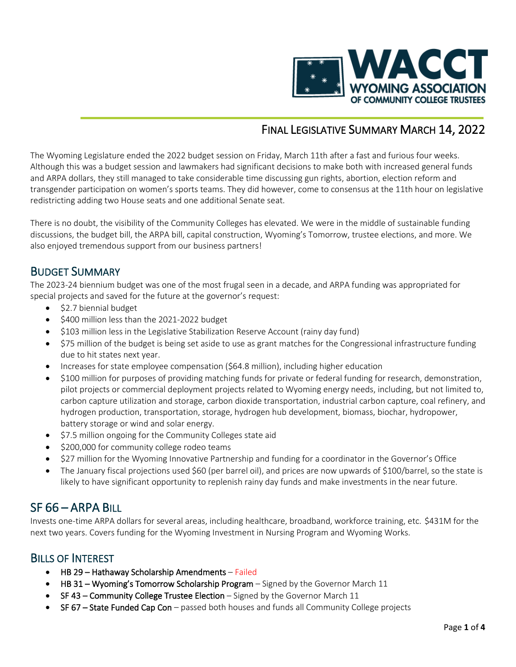

# FINAL LEGISLATIVE SUMMARY MARCH 14, 2022

The Wyoming Legislature ended the 2022 budget session on Friday, March 11th after a fast and furious four weeks. Although this was a budget session and lawmakers had significant decisions to make both with increased general funds and ARPA dollars, they still managed to take considerable time discussing gun rights, abortion, election reform and transgender participation on women's sports teams. They did however, come to consensus at the 11th hour on legislative redistricting adding two House seats and one additional Senate seat.

There is no doubt, the visibility of the Community Colleges has elevated. We were in the middle of sustainable funding discussions, the budget bill, the ARPA bill, capital construction, Wyoming's Tomorrow, trustee elections, and more. We also enjoyed tremendous support from our business partners!

**BUDGET SUMMARY**<br>The 2023-24 biennium budget was one of the most frugal seen in a decade, and ARPA funding was appropriated for special projects and saved for the future at the governor's request:

- \$2.7 biennial budget
- \$400 million less than the 2021-2022 budget
- \$103 million less in the Legislative Stabilization Reserve Account (rainy day fund)
- \$75 million of the budget is being set aside to use as grant matches for the Congressional infrastructure funding due to hit states next year.
- Increases for state employee compensation (\$64.8 million), including higher education
- \$100 million for purposes of providing matching funds for private or federal funding for research, demonstration, pilot projects or commercial deployment projects related to Wyoming energy needs, including, but not limited to, carbon capture utilization and storage, carbon dioxide transportation, industrial carbon capture, coal refinery, and hydrogen production, transportation, storage, hydrogen hub development, biomass, biochar, hydropower, battery storage or wind and solar energy.
- \$7.5 million ongoing for the Community Colleges state aid
- \$200,000 for community college rodeo teams
- \$27 million for the Wyoming Innovative Partnership and funding for a coordinator in the Governor's Office
- The January fiscal projections used \$60 (per barrel oil), and prices are now upwards of \$100/barrel, so the state is likely to have significant opportunity to replenish rainy day funds and make investments in the near future.

SF 66 – ARPA BILL<br>Invests one-time ARPA dollars for several areas, including healthcare, broadband, workforce training, etc. \$431M for the next two years. Covers funding for the Wyoming Investment in Nursing Program and Wyoming Works.

### BILLS OF INTEREST

- $HB$  29 Hathaway Scholarship Amendments Failed
- HB 31 Wyoming's Tomorrow Scholarship Program Signed by the Governor March 11
- SF 43 Community College Trustee Election Signed by the Governor March 11
- SF 67 State Funded Cap Con passed both houses and funds all Community College projects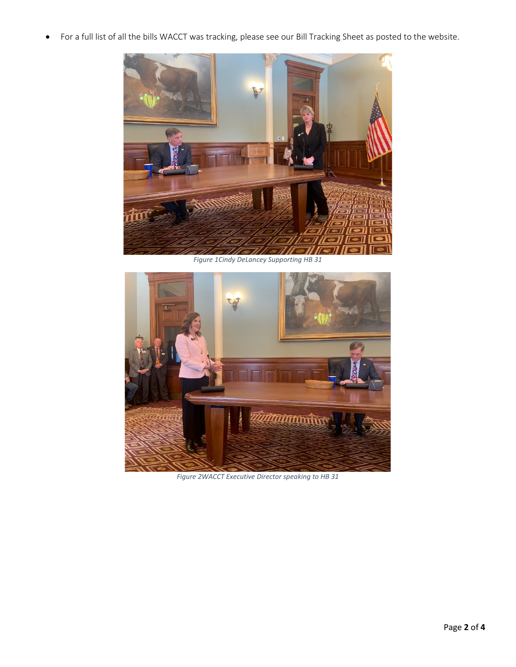• For a full list of all the bills WACCT was tracking, please see our Bill Tracking Sheet as posted to the website.



*Figure 1Cindy DeLancey Supporting HB 31*



*Figure 2WACCT Executive Director speaking to HB 31*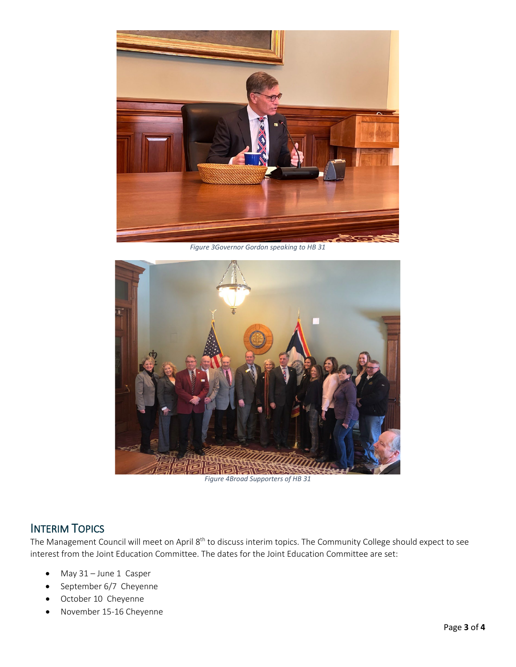

*Figure 3Governor Gordon speaking to HB 31*



*Figure 4Broad Supporters of HB 31*

**INTERIM TOPICS**<br>The Management Council will meet on April 8<sup>th</sup> to discuss interim topics. The Community College should expect to see interest from the Joint Education Committee. The dates for the Joint Education Committee are set:

- May 31 June 1 Casper
- September 6/7 Cheyenne
- October 10 Cheyenne
- November 15-16 Cheyenne